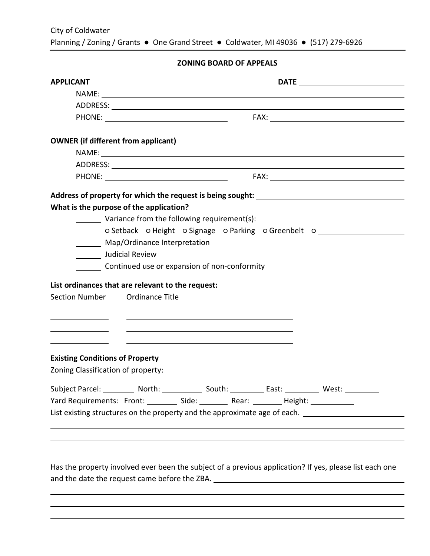# **ZONING BOARD OF APPEALS**

| <b>APPLICANT</b>                                  |                                                                                                                       |
|---------------------------------------------------|-----------------------------------------------------------------------------------------------------------------------|
|                                                   | NAME: NAME:                                                                                                           |
|                                                   |                                                                                                                       |
|                                                   |                                                                                                                       |
|                                                   |                                                                                                                       |
| <b>OWNER</b> (if different from applicant)        |                                                                                                                       |
|                                                   |                                                                                                                       |
|                                                   |                                                                                                                       |
|                                                   |                                                                                                                       |
|                                                   |                                                                                                                       |
| What is the purpose of the application?           |                                                                                                                       |
| Variance from the following requirement(s):       |                                                                                                                       |
|                                                   | o Setback o Height o Signage o Parking o Greenbelt o                                                                  |
| Map/Ordinance Interpretation                      |                                                                                                                       |
| _______ Judicial Review                           |                                                                                                                       |
| Continued use or expansion of non-conformity      |                                                                                                                       |
|                                                   |                                                                                                                       |
| List ordinances that are relevant to the request: |                                                                                                                       |
| Section Number Ordinance Title                    |                                                                                                                       |
|                                                   |                                                                                                                       |
|                                                   | <u> 1989 - Johann Stoff, deutscher Stoff, der Stoff, der Stoff, der Stoff, der Stoff, der Stoff, der Stoff, der S</u> |
|                                                   | <u> 1989 - Johann Barn, amerikansk politiker (d. 1989)</u>                                                            |
|                                                   | <u> 1989 - Johann Stein, mars an deus an deus Amerikaanse komme van de Fryske komme van de Fryske komme van de Fr</u> |
| <b>Existing Conditions of Property</b>            |                                                                                                                       |
|                                                   |                                                                                                                       |
| Zoning Classification of property:                |                                                                                                                       |
|                                                   | Subject Parcel: __________ North: ____________ South: __________ East: __________ West: __________                    |
|                                                   | Yard Requirements: Front: _________ Side: ________ Rear: ________ Height: ___________                                 |
|                                                   | List existing structures on the property and the approximate age of each.                                             |
|                                                   |                                                                                                                       |
|                                                   |                                                                                                                       |
|                                                   |                                                                                                                       |
|                                                   |                                                                                                                       |
|                                                   | Has the property involved ever been the subject of a previous application? If yes, please list each one               |
|                                                   | and the date the request came before the ZBA. [19] [2012] [2013] [2013] [2013] [2014] [2014] [2014] [2014] [20        |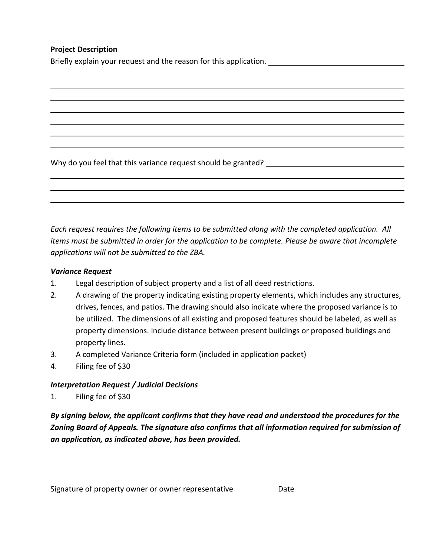# **Project Description**

Briefly explain your request and the reason for this application. \_\_\_\_\_\_\_\_\_\_\_\_\_\_

Why do you feel that this variance request should be granted?

*Each request requires the following items to be submitted along with the completed application. All items must be submitted in order for the application to be complete. Please be aware that incomplete applications will not be submitted to the ZBA.* 

## *Variance Request*

- 1. Legal description of subject property and a list of all deed restrictions.
- 2. A drawing of the property indicating existing property elements, which includes any structures, drives, fences, and patios. The drawing should also indicate where the proposed variance is to be utilized. The dimensions of all existing and proposed features should be labeled, as well as property dimensions. Include distance between present buildings or proposed buildings and property lines.
- 3. A completed Variance Criteria form (included in application packet)
- 4. Filing fee of \$30

## *Interpretation Request / Judicial Decisions*

1. Filing fee of \$30

*By signing below, the applicant confirms that they have read and understood the procedures for the Zoning Board of Appeals. The signature also confirms that all information required for submission of an application, as indicated above, has been provided.*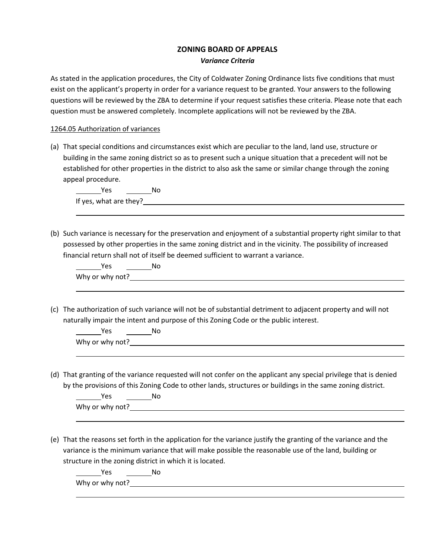#### **ZONING BOARD OF APPEALS** *Variance Criteria*

As stated in the application procedures, the City of Coldwater Zoning Ordinance lists five conditions that must exist on the applicant's property in order for a variance request to be granted. Your answers to the following questions will be reviewed by the ZBA to determine if your request satisfies these criteria. Please note that each question must be answered completely. Incomplete applications will not be reviewed by the ZBA.

#### 1264.05 Authorization of variances

(a) That special conditions and circumstances exist which are peculiar to the land, land use, structure or building in the same zoning district so as to present such a unique situation that a precedent will not be established for other properties in the district to also ask the same or similar change through the zoning appeal procedure.

Yes \_\_\_\_\_\_\_\_\_No If yes, what are they?

(b) Such variance is necessary for the preservation and enjoyment of a substantial property right similar to that possessed by other properties in the same zoning district and in the vicinity. The possibility of increased financial return shall not of itself be deemed sufficient to warrant a variance.

| Yes             | Nc |  |  |  |
|-----------------|----|--|--|--|
| Why or why not? |    |  |  |  |
|                 |    |  |  |  |

(c) The authorization of such variance will not be of substantial detriment to adjacent property and will not naturally impair the intent and purpose of this Zoning Code or the public interest.

| Yes             | No |  |  |
|-----------------|----|--|--|
| Why or why not? |    |  |  |
|                 |    |  |  |

(d) That granting of the variance requested will not confer on the applicant any special privilege that is denied by the provisions of this Zoning Code to other lands, structures or buildings in the same zoning district.

Yes No Why or why not?

(e) That the reasons set forth in the application for the variance justify the granting of the variance and the variance is the minimum variance that will make possible the reasonable use of the land, building or structure in the zoning district in which it is located.

Yes No

Why or why not?<br>
<u>Letting</u>